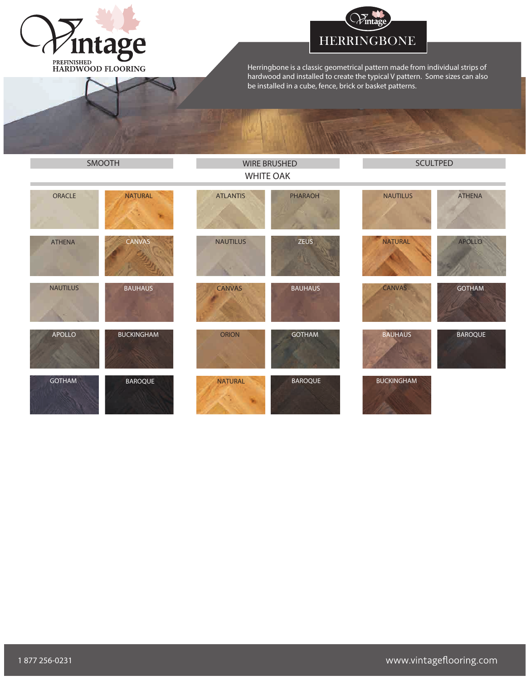



Herringbone is a classic geometrical pattern made from individual strips of hardwood and installed to create the typical V pattern. Some sizes can also be installed in a cube, fence, brick or basket patterns.

| SMOOTH          |                   | <b>WIRE BRUSHED</b><br><b>WHITE OAK</b> |                | <b>SCULTPED</b>   |                |
|-----------------|-------------------|-----------------------------------------|----------------|-------------------|----------------|
| ORACLE          | <b>NATURAL</b>    | <b>ATLANTIS</b>                         | PHARAOH        | <b>NAUTILUS</b>   | <b>ATHENA</b>  |
| <b>ATHENA</b>   | CANVAS            | <b>NAUTILUS</b>                         | <b>ZEUS</b>    | <b>NATURAL</b>    | <b>APOLLO</b>  |
| <b>NAUTILUS</b> | <b>BAUHAUS</b>    | <b>CANVAS</b>                           | <b>BAUHAUS</b> | CANVAS            | <b>GOTHAM</b>  |
| <b>APOLLO</b>   | <b>BUCKINGHAM</b> | ORION                                   | <b>GOTHAM</b>  | <b>BAUHAUS</b>    | <b>BAROQUE</b> |
| <b>GOTHAM</b>   | <b>BAROQUE</b>    | <b>NATURAL</b>                          | <b>BAROQUE</b> | <b>BUCKINGHAM</b> |                |